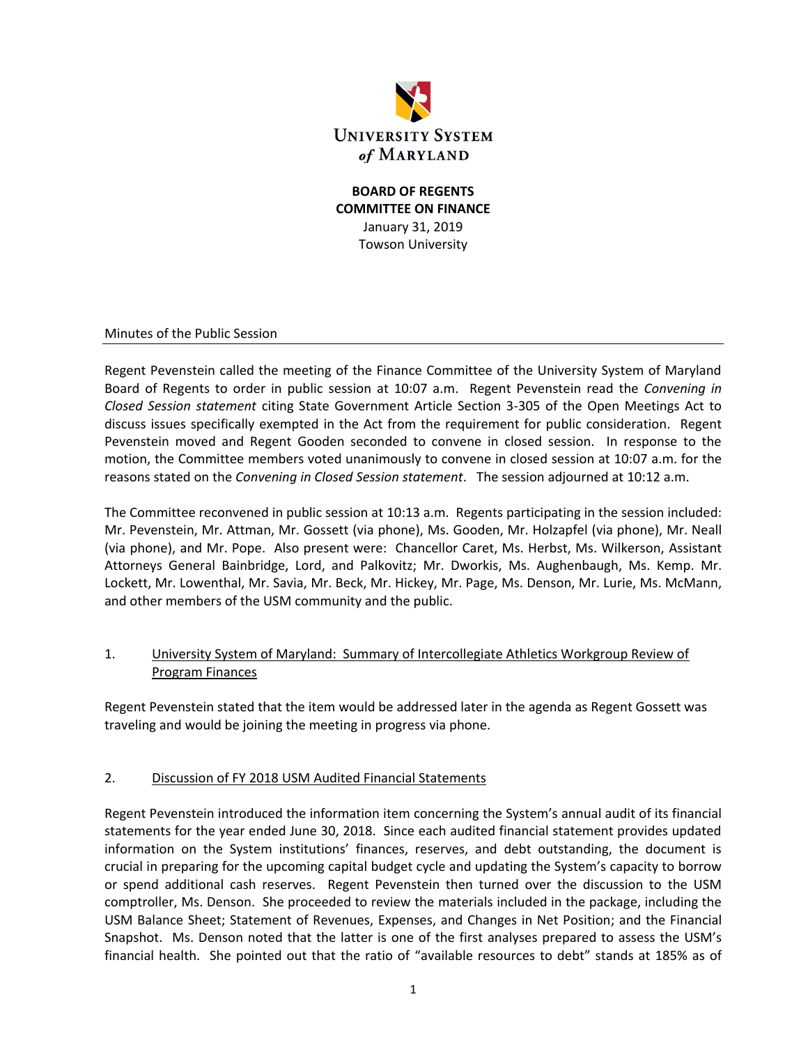

## **BOARD OF REGENTS COMMITTEE ON FINANCE** January 31, 2019 Towson University

Minutes of the Public Session

Regent Pevenstein called the meeting of the Finance Committee of the University System of Maryland Board of Regents to order in public session at 10:07 a.m. Regent Pevenstein read the *Convening in Closed Session statement* citing State Government Article Section 3-305 of the Open Meetings Act to discuss issues specifically exempted in the Act from the requirement for public consideration. Regent Pevenstein moved and Regent Gooden seconded to convene in closed session. In response to the motion, the Committee members voted unanimously to convene in closed session at 10:07 a.m. for the reasons stated on the *Convening in Closed Session statement*. The session adjourned at 10:12 a.m.

The Committee reconvened in public session at 10:13 a.m. Regents participating in the session included: Mr. Pevenstein, Mr. Attman, Mr. Gossett (via phone), Ms. Gooden, Mr. Holzapfel (via phone), Mr. Neall (via phone), and Mr. Pope. Also present were: Chancellor Caret, Ms. Herbst, Ms. Wilkerson, Assistant Attorneys General Bainbridge, Lord, and Palkovitz; Mr. Dworkis, Ms. Aughenbaugh, Ms. Kemp. Mr. Lockett, Mr. Lowenthal, Mr. Savia, Mr. Beck, Mr. Hickey, Mr. Page, Ms. Denson, Mr. Lurie, Ms. McMann, and other members of the USM community and the public.

## 1. University System of Maryland: Summary of Intercollegiate Athletics Workgroup Review of Program Finances

Regent Pevenstein stated that the item would be addressed later in the agenda as Regent Gossett was traveling and would be joining the meeting in progress via phone.

## 2. Discussion of FY 2018 USM Audited Financial Statements

Regent Pevenstein introduced the information item concerning the System's annual audit of its financial statements for the year ended June 30, 2018. Since each audited financial statement provides updated information on the System institutions' finances, reserves, and debt outstanding, the document is crucial in preparing for the upcoming capital budget cycle and updating the System's capacity to borrow or spend additional cash reserves. Regent Pevenstein then turned over the discussion to the USM comptroller, Ms. Denson. She proceeded to review the materials included in the package, including the USM Balance Sheet; Statement of Revenues, Expenses, and Changes in Net Position; and the Financial Snapshot. Ms. Denson noted that the latter is one of the first analyses prepared to assess the USM's financial health. She pointed out that the ratio of "available resources to debt" stands at 185% as of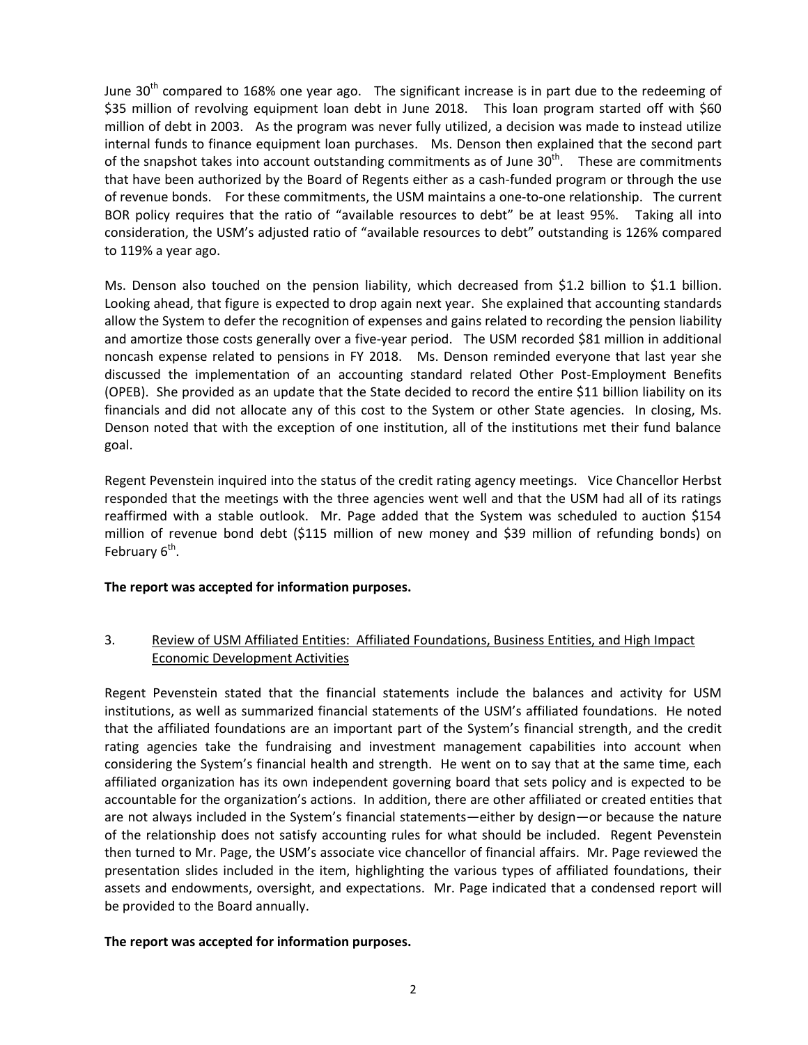June  $30<sup>th</sup>$  compared to 168% one year ago. The significant increase is in part due to the redeeming of \$35 million of revolving equipment loan debt in June 2018. This loan program started off with \$60 million of debt in 2003. As the program was never fully utilized, a decision was made to instead utilize internal funds to finance equipment loan purchases. Ms. Denson then explained that the second part of the snapshot takes into account outstanding commitments as of June  $30<sup>th</sup>$ . These are commitments that have been authorized by the Board of Regents either as a cash-funded program or through the use of revenue bonds. For these commitments, the USM maintains a one-to-one relationship. The current BOR policy requires that the ratio of "available resources to debt" be at least 95%. Taking all into consideration, the USM's adjusted ratio of "available resources to debt" outstanding is 126% compared to 119% a year ago.

Ms. Denson also touched on the pension liability, which decreased from \$1.2 billion to \$1.1 billion. Looking ahead, that figure is expected to drop again next year. She explained that accounting standards allow the System to defer the recognition of expenses and gains related to recording the pension liability and amortize those costs generally over a five-year period. The USM recorded \$81 million in additional noncash expense related to pensions in FY 2018. Ms. Denson reminded everyone that last year she discussed the implementation of an accounting standard related Other Post-Employment Benefits (OPEB). She provided as an update that the State decided to record the entire \$11 billion liability on its financials and did not allocate any of this cost to the System or other State agencies. In closing, Ms. Denson noted that with the exception of one institution, all of the institutions met their fund balance goal.

Regent Pevenstein inquired into the status of the credit rating agency meetings. Vice Chancellor Herbst responded that the meetings with the three agencies went well and that the USM had all of its ratings reaffirmed with a stable outlook. Mr. Page added that the System was scheduled to auction \$154 million of revenue bond debt (\$115 million of new money and \$39 million of refunding bonds) on February 6<sup>th</sup>.

## **The report was accepted for information purposes.**

## 3. Review of USM Affiliated Entities: Affiliated Foundations, Business Entities, and High Impact Economic Development Activities

Regent Pevenstein stated that the financial statements include the balances and activity for USM institutions, as well as summarized financial statements of the USM's affiliated foundations. He noted that the affiliated foundations are an important part of the System's financial strength, and the credit rating agencies take the fundraising and investment management capabilities into account when considering the System's financial health and strength. He went on to say that at the same time, each affiliated organization has its own independent governing board that sets policy and is expected to be accountable for the organization's actions. In addition, there are other affiliated or created entities that are not always included in the System's financial statements—either by design—or because the nature of the relationship does not satisfy accounting rules for what should be included. Regent Pevenstein then turned to Mr. Page, the USM's associate vice chancellor of financial affairs. Mr. Page reviewed the presentation slides included in the item, highlighting the various types of affiliated foundations, their assets and endowments, oversight, and expectations. Mr. Page indicated that a condensed report will be provided to the Board annually.

## **The report was accepted for information purposes.**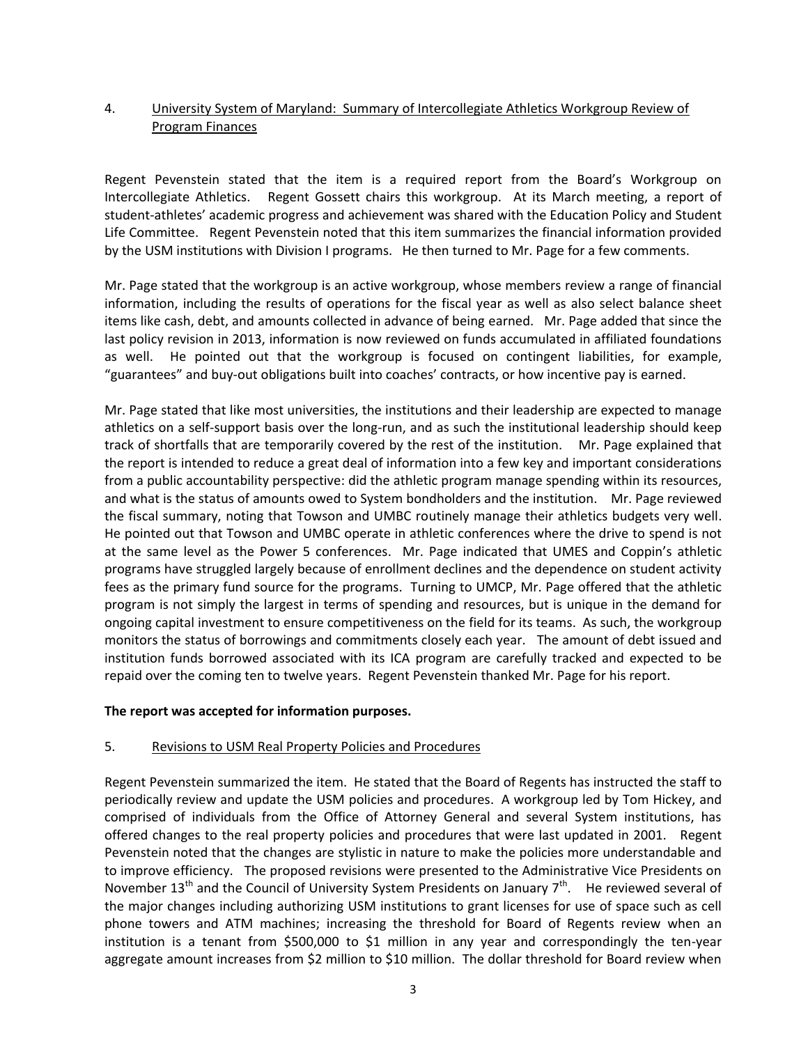## 4. University System of Maryland: Summary of Intercollegiate Athletics Workgroup Review of Program Finances

Regent Pevenstein stated that the item is a required report from the Board's Workgroup on Intercollegiate Athletics. Regent Gossett chairs this workgroup. At its March meeting, a report of student-athletes' academic progress and achievement was shared with the Education Policy and Student Life Committee. Regent Pevenstein noted that this item summarizes the financial information provided by the USM institutions with Division I programs. He then turned to Mr. Page for a few comments.

Mr. Page stated that the workgroup is an active workgroup, whose members review a range of financial information, including the results of operations for the fiscal year as well as also select balance sheet items like cash, debt, and amounts collected in advance of being earned. Mr. Page added that since the last policy revision in 2013, information is now reviewed on funds accumulated in affiliated foundations as well. He pointed out that the workgroup is focused on contingent liabilities, for example, "guarantees" and buy-out obligations built into coaches' contracts, or how incentive pay is earned.

Mr. Page stated that like most universities, the institutions and their leadership are expected to manage athletics on a self-support basis over the long-run, and as such the institutional leadership should keep track of shortfalls that are temporarily covered by the rest of the institution. Mr. Page explained that the report is intended to reduce a great deal of information into a few key and important considerations from a public accountability perspective: did the athletic program manage spending within its resources, and what is the status of amounts owed to System bondholders and the institution. Mr. Page reviewed the fiscal summary, noting that Towson and UMBC routinely manage their athletics budgets very well. He pointed out that Towson and UMBC operate in athletic conferences where the drive to spend is not at the same level as the Power 5 conferences. Mr. Page indicated that UMES and Coppin's athletic programs have struggled largely because of enrollment declines and the dependence on student activity fees as the primary fund source for the programs. Turning to UMCP, Mr. Page offered that the athletic program is not simply the largest in terms of spending and resources, but is unique in the demand for ongoing capital investment to ensure competitiveness on the field for its teams. As such, the workgroup monitors the status of borrowings and commitments closely each year. The amount of debt issued and institution funds borrowed associated with its ICA program are carefully tracked and expected to be repaid over the coming ten to twelve years. Regent Pevenstein thanked Mr. Page for his report.

## **The report was accepted for information purposes.**

#### 5. Revisions to USM Real Property Policies and Procedures

Regent Pevenstein summarized the item. He stated that the Board of Regents has instructed the staff to periodically review and update the USM policies and procedures. A workgroup led by Tom Hickey, and comprised of individuals from the Office of Attorney General and several System institutions, has offered changes to the real property policies and procedures that were last updated in 2001. Regent Pevenstein noted that the changes are stylistic in nature to make the policies more understandable and to improve efficiency. The proposed revisions were presented to the Administrative Vice Presidents on November 13<sup>th</sup> and the Council of University System Presidents on January 7<sup>th</sup>. He reviewed several of the major changes including authorizing USM institutions to grant licenses for use of space such as cell phone towers and ATM machines; increasing the threshold for Board of Regents review when an institution is a tenant from \$500,000 to \$1 million in any year and correspondingly the ten-year aggregate amount increases from \$2 million to \$10 million. The dollar threshold for Board review when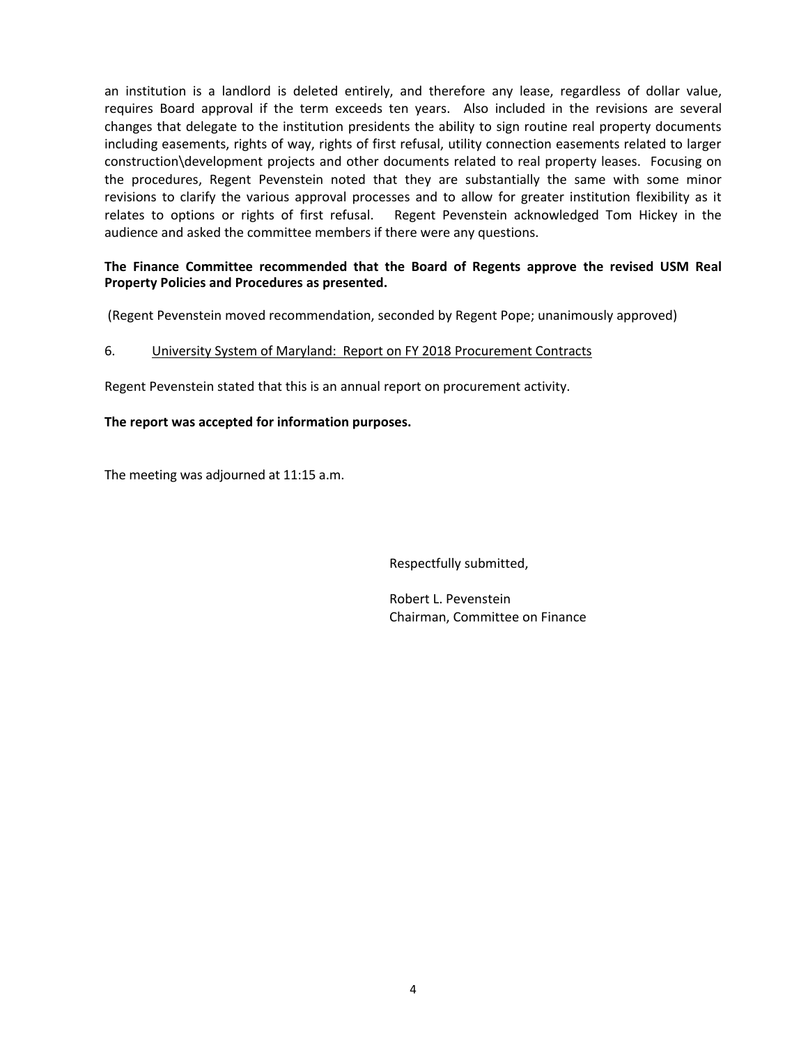an institution is a landlord is deleted entirely, and therefore any lease, regardless of dollar value, requires Board approval if the term exceeds ten years. Also included in the revisions are several changes that delegate to the institution presidents the ability to sign routine real property documents including easements, rights of way, rights of first refusal, utility connection easements related to larger construction\development projects and other documents related to real property leases. Focusing on the procedures, Regent Pevenstein noted that they are substantially the same with some minor revisions to clarify the various approval processes and to allow for greater institution flexibility as it relates to options or rights of first refusal. Regent Pevenstein acknowledged Tom Hickey in the audience and asked the committee members if there were any questions.

## **The Finance Committee recommended that the Board of Regents approve the revised USM Real Property Policies and Procedures as presented.**

(Regent Pevenstein moved recommendation, seconded by Regent Pope; unanimously approved)

#### 6. University System of Maryland: Report on FY 2018 Procurement Contracts

Regent Pevenstein stated that this is an annual report on procurement activity.

#### **The report was accepted for information purposes.**

The meeting was adjourned at 11:15 a.m.

Respectfully submitted,

Robert L. Pevenstein Chairman, Committee on Finance